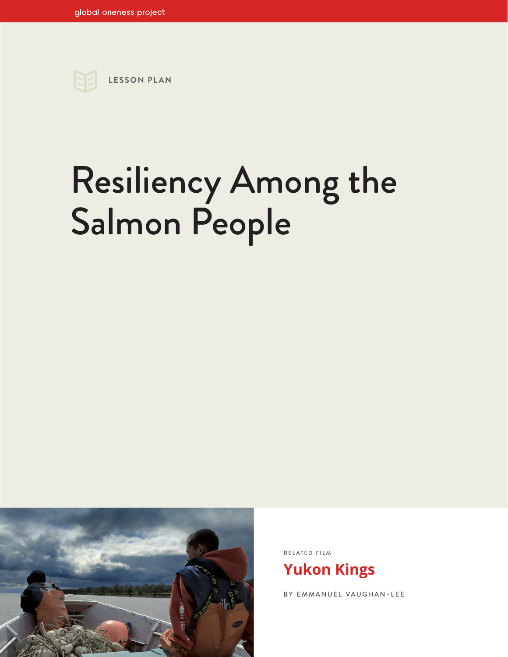

# Resiliency Among the Salmon People



RELATED FILM

**[Yukon Kings](https://www.globalonenessproject.org/library/films/yukon-kings)**

BY EMMANUEL VAUGHAN-LEE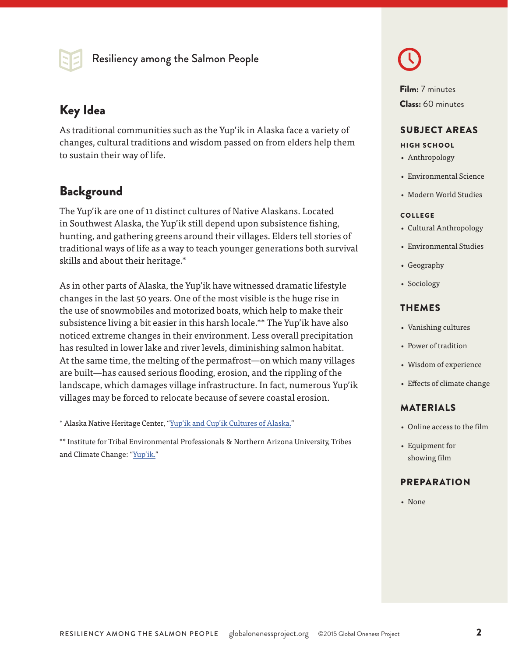

# Key Idea **Class:** 60 minutes

As traditional communities such as the Yup'ik in Alaska face a variety of changes, cultural traditions and wisdom passed on from elders help them to sustain their way of life.

# **Background**

The Yup'ik are one of 11 distinct cultures of Native Alaskans. Located in Southwest Alaska, the Yup'ik still depend upon subsistence fishing, hunting, and gathering greens around their villages. Elders tell stories of traditional ways of life as a way to teach younger generations both survival skills and about their heritage.\*

As in other parts of Alaska, the Yup'ik have witnessed dramatic lifestyle changes in the last 50 years. One of the most visible is the huge rise in the use of snowmobiles and motorized boats, which help to make their subsistence living a bit easier in this harsh locale.\*\* The Yup'ik have also noticed extreme changes in their environment. Less overall precipitation has resulted in lower lake and river levels, diminishing salmon habitat. At the same time, the melting of the permafrost—on which many villages are built—has caused serious flooding, erosion, and the rippling of the landscape, which damages village infrastructure. In fact, numerous Yup'ik villages may be forced to relocate because of severe coastal erosion.

\* Alaska Native Heritage Center, "[Yup'ik and Cup'ik Cultures of Alaska.](http://www.alaskanative.net/en/main-nav/education-and-programs/cultures-of-alaska/yupik-and-cupik/)"

\*\* Institute for Tribal Environmental Professionals & Northern Arizona University, Tribes and Climate Change: ["Yup'ik.](http://www7.nau.edu/itep/main/tcc/)"

Film: 7 minutes

#### SUBJECT AREAS

#### HIGH SCHOOL

- Anthropology
- Environmental Science
- Modern World Studies

#### COLLEGE

- Cultural Anthropology
- Environmental Studies
- Geography
- Sociology

#### THEMES

- Vanishing cultures
- Power of tradition
- Wisdom of experience
- Effects of climate change

#### MATERIALS

- Online access to the film
- Equipment for showing film

#### PREPARATION

• None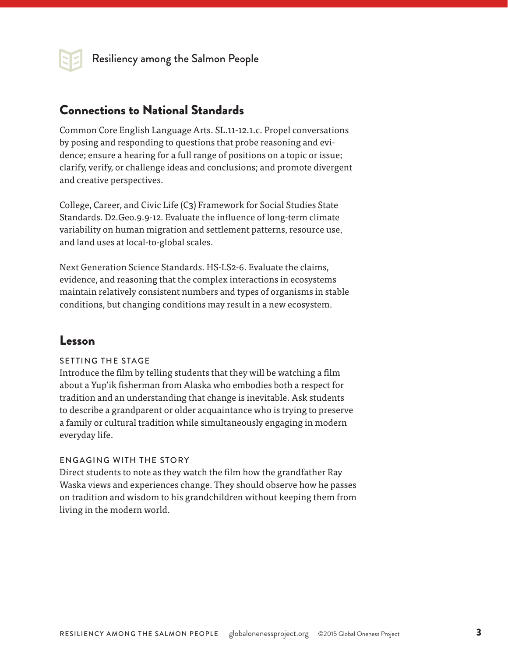

Resiliency among the Salmon People

## Connections to National Standards

Common Core English Language Arts. SL.11-12.1.c. Propel conversations by posing and responding to questions that probe reasoning and evidence; ensure a hearing for a full range of positions on a topic or issue; clarify, verify, or challenge ideas and conclusions; and promote divergent and creative perspectives.

College, Career, and Civic Life (C3) Framework for Social Studies State Standards. D2.Geo.9.9-12. Evaluate the influence of long-term climate variability on human migration and settlement patterns, resource use, and land uses at local-to-global scales.

Next Generation Science Standards. HS-LS2-6. Evaluate the claims, evidence, and reasoning that the complex interactions in ecosystems maintain relatively consistent numbers and types of organisms in stable conditions, but changing conditions may result in a new ecosystem.

### Lesson

#### SETTING THE STAGE

Introduce the film by telling students that they will be watching a film about a Yup'ik fisherman from Alaska who embodies both a respect for tradition and an understanding that change is inevitable. Ask students to describe a grandparent or older acquaintance who is trying to preserve a family or cultural tradition while simultaneously engaging in modern everyday life.

#### ENGAGING WITH THE STORY

Direct students to note as they watch the film how the grandfather Ray Waska views and experiences change. They should observe how he passes on tradition and wisdom to his grandchildren without keeping them from living in the modern world.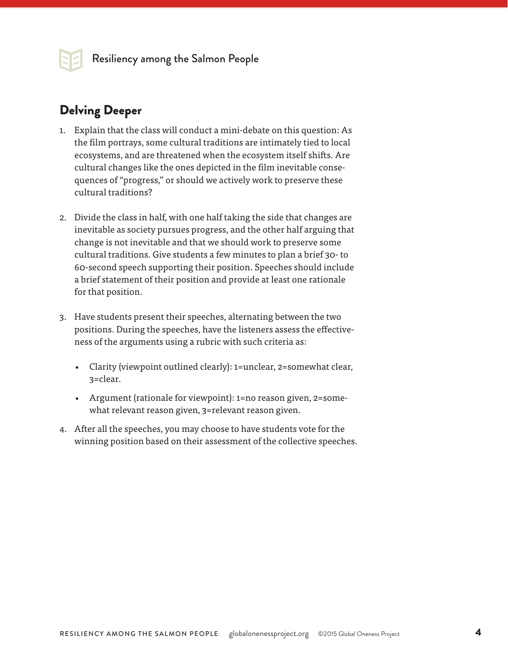

# Delving Deeper

- 1. Explain that the class will conduct a mini-debate on this question: As the film portrays, some cultural traditions are intimately tied to local ecosystems, and are threatened when the ecosystem itself shifts. Are cultural changes like the ones depicted in the film inevitable consequences of "progress," or should we actively work to preserve these cultural traditions?
- 2. Divide the class in half, with one half taking the side that changes are inevitable as society pursues progress, and the other half arguing that change is not inevitable and that we should work to preserve some cultural traditions. Give students a few minutes to plan a brief 30- to 60-second speech supporting their position. Speeches should include a brief statement of their position and provide at least one rationale for that position.
- 3. Have students present their speeches, alternating between the two positions. During the speeches, have the listeners assess the effectiveness of the arguments using a rubric with such criteria as:
	- Clarity (viewpoint outlined clearly): 1=unclear, 2=somewhat clear, 3=clear.
	- Argument (rationale for viewpoint): 1=no reason given, 2=somewhat relevant reason given, 3=relevant reason given.
- 4. After all the speeches, you may choose to have students vote for the winning position based on their assessment of the collective speeches.